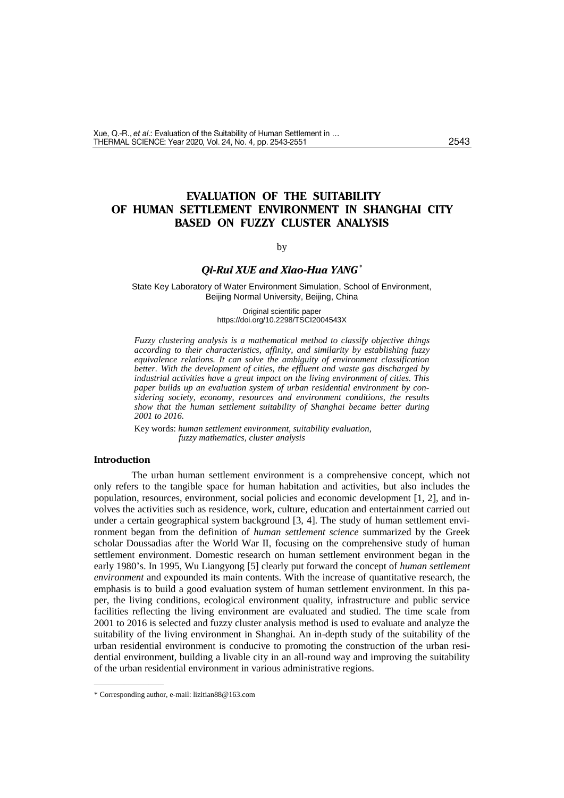# **EVALUATION OF THE SUITABILITY OF HUMAN SETTLEMENT ENVIRONMENT IN SHANGHAI CITY BASED ON FUZZY CLUSTER ANALYSIS**

by

### *Qi-Rui XUE and Xiao-Hua YANG\**

State Key Laboratory of Water Environment Simulation, School of Environment, Beijing Normal University, Beijing, China

> Original scientific paper https://doi.org/10.2298/TSCI2004543X

*Fuzzy clustering analysis is a mathematical method to classify objective things according to their characteristics, affinity, and similarity by establishing fuzzy equivalence relations. It can solve the ambiguity of environment classification better. With the development of cities, the effluent and waste gas discharged by industrial activities have a great impact on the living environment of cities. This paper builds up an evaluation system of urban residential environment by considering society, economy, resources and environment conditions, the results show that the human settlement suitability of Shanghai became better during 2001 to 2016.*

Key words: *human settlement environment, suitability evaluation, fuzzy mathematics, cluster analysis*

### **Introduction**

The urban human settlement environment is a comprehensive concept, which not only refers to the tangible space for human habitation and activities, but also includes the population, resources, environment, social policies and economic development [1, 2], and involves the activities such as residence, work, culture, education and entertainment carried out under a certain geographical system background [3, 4]. The study of human settlement environment began from the definition of *human settlement science* summarized by the Greek scholar Doussadias after the World War Ⅱ, focusing on the comprehensive study of human settlement environment. Domestic research on human settlement environment began in the early 1980's. In 1995, Wu Liangyong [5] clearly put forward the concept of *human settlement environment* and expounded its main contents. With the increase of quantitative research, the emphasis is to build a good evaluation system of human settlement environment. In this paper, the living conditions, ecological environment quality, infrastructure and public service facilities reflecting the living environment are evaluated and studied. The time scale from 2001 to 2016 is selected and fuzzy cluster analysis method is used to evaluate and analyze the suitability of the living environment in Shanghai. An in-depth study of the suitability of the urban residential environment is conducive to promoting the construction of the urban residential environment, building a livable city in an all-round way and improving the suitability of the urban residential environment in various administrative regions.

––––––––––––––

<sup>\*</sup> Corresponding author, e-mail: lizitian88@163.com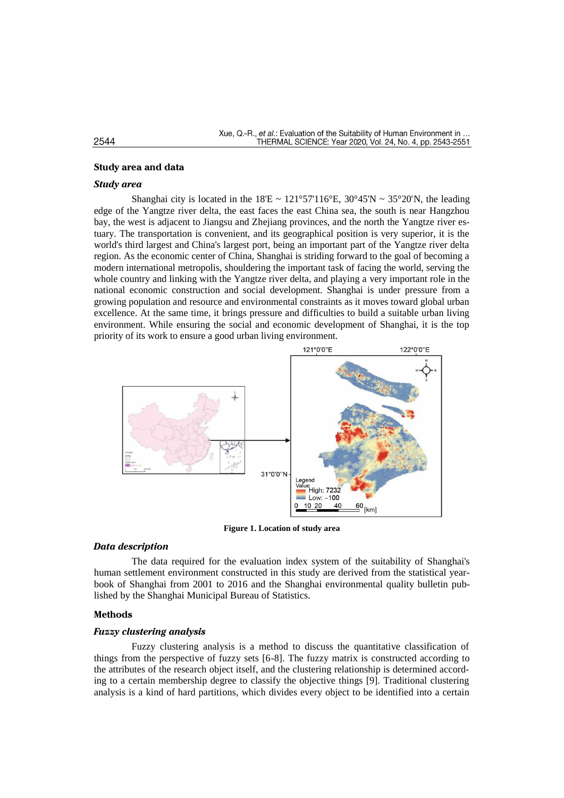### **Study area and data**

### *Study area*

Shanghai city is located in the  $18'E \sim 121^{\circ}57'116^{\circ}E$ ,  $30^{\circ}45'N \sim 35^{\circ}20'N$ , the leading edge of the Yangtze river delta, the east faces the east China sea, the south is near Hangzhou bay, the west is adjacent to Jiangsu and Zhejiang provinces, and the north the Yangtze river estuary. The transportation is convenient, and its geographical position is very superior, it is the world's third largest and China's largest port, being an important part of the Yangtze river delta region. As the economic center of China, Shanghai is striding forward to the goal of becoming a modern international metropolis, shouldering the important task of facing the world, serving the whole country and linking with the Yangtze river delta, and playing a very important role in the national economic construction and social development. Shanghai is under pressure from a growing population and resource and environmental constraints as it moves toward global urban excellence. At the same time, it brings pressure and difficulties to build a suitable urban living environment. While ensuring the social and economic development of Shanghai, it is the top priority of its work to ensure a good urban living environment.



**Figure 1. Location of study area**

### *Data description*

The data required for the evaluation index system of the suitability of Shanghai's human settlement environment constructed in this study are derived from the statistical yearbook of Shanghai from 2001 to 2016 and the Shanghai environmental quality bulletin published by the Shanghai Municipal Bureau of Statistics.

#### **Methods**

### *Fuzzy clustering analysis*

Fuzzy clustering analysis is a method to discuss the quantitative classification of things from the perspective of fuzzy sets [6-8]. The fuzzy matrix is constructed according to the attributes of the research object itself, and the clustering relationship is determined according to a certain membership degree to classify the objective things [9]. Traditional clustering analysis is a kind of hard partitions, which divides every object to be identified into a certain

#### 2544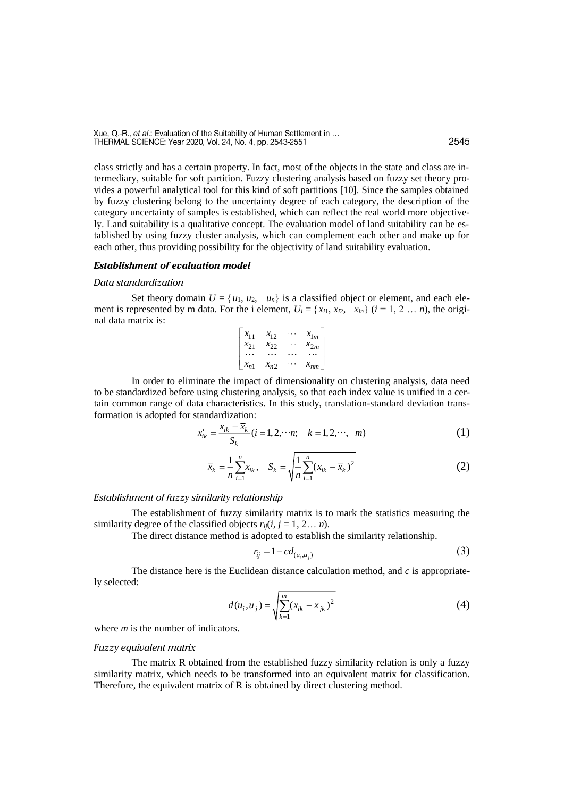class strictly and has a certain property. In fact, most of the objects in the state and class are intermediary, suitable for soft partition. Fuzzy clustering analysis based on fuzzy set theory provides a powerful analytical tool for this kind of soft partitions [10]. Since the samples obtained by fuzzy clustering belong to the uncertainty degree of each category, the description of the category uncertainty of samples is established, which can reflect the real world more objectively. Land suitability is a qualitative concept. The evaluation model of land suitability can be established by using fuzzy cluster analysis, which can complement each other and make up for each other, thus providing possibility for the objectivity of land suitability evaluation.

### *Establishment of evaluation model*

#### *Data standardization*

Set theory domain  $U = \{u_1, u_2, u_n\}$  is a classified object or element, and each element is represented by m data. For the i element,  $U_i = \{x_{i1}, x_{i2}, x_{in}\}$  ( $i = 1, 2 ... n$ ), the original data matrix is:

| $x_{11}$ | $x_{12}$ | $x_{1m}$ |
|----------|----------|----------|
| $x_{21}$ | $x_{22}$ | $x_{2m}$ |
|          |          |          |
| $x_{n1}$ | $x_{n2}$ | $x_{nm}$ |

In order to eliminate the impact of dimensionality on clustering analysis, data need to be standardized before using clustering analysis, so that each index value is unified in a certain common range of data characteristics. In this study, translation-standard deviation transformation is adopted for standardization:

$$
x'_{ik} = \frac{x_{ik} - x_k}{S_k} (i = 1, 2, \cdots n; \quad k = 1, 2, \cdots, \quad m)
$$
 (1)

$$
\bar{x}_k = \frac{1}{n} \sum_{i=1}^n x_{ik}, \quad S_k = \sqrt{\frac{1}{n} \sum_{i=1}^n (x_{ik} - \bar{x}_k)^2}
$$
(2)

#### *Establishment of fuzzy similarity relationship*

The establishment of fuzzy similarity matrix is to mark the statistics measuring the similarity degree of the classified objects  $r_{ii}(i, i = 1, 2, \ldots n)$ .

The direct distance method is adopted to establish the similarity relationship.

$$
r_{ij} = 1 - c d_{(u_i, u_j)}
$$
 (3)

The distance here is the Euclidean distance calculation method, and *c* is appropriately selected:

$$
d(u_i, u_j) = \sqrt{\sum_{k=1}^{m} (x_{ik} - x_{jk})^2}
$$
 (4)

where *m* is the number of indicators.

#### *Fuzzy equivalent matrix*

The matrix R obtained from the established fuzzy similarity relation is only a fuzzy similarity matrix, which needs to be transformed into an equivalent matrix for classification. Therefore, the equivalent matrix of R is obtained by direct clustering method.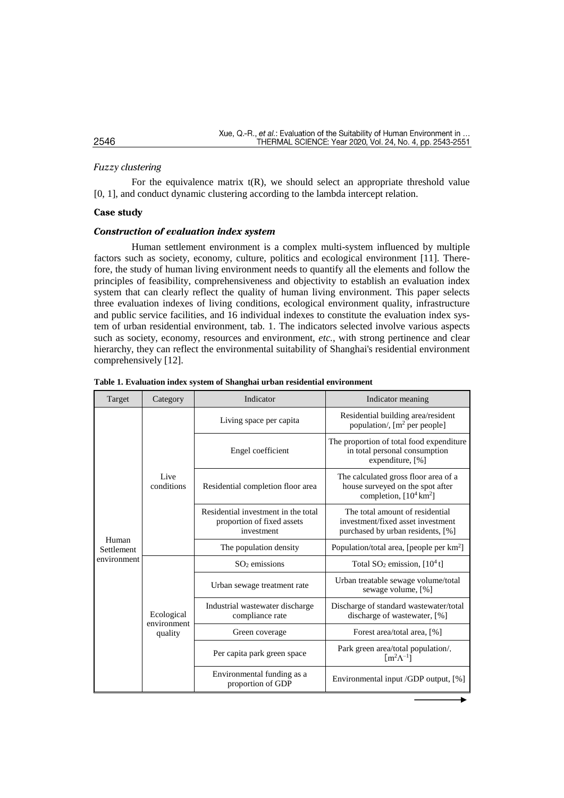# *Fuzzy clustering*

For the equivalence matrix  $t(R)$ , we should select an appropriate threshold value [0, 1], and conduct dynamic clustering according to the lambda intercept relation.

### **Case study**

### *Construction of evaluation index system*

Human settlement environment is a complex multi-system influenced by multiple factors such as society, economy, culture, politics and ecological environment [11]. Therefore, the study of human living environment needs to quantify all the elements and follow the principles of feasibility, comprehensiveness and objectivity to establish an evaluation index system that can clearly reflect the quality of human living environment. This paper selects three evaluation indexes of living conditions, ecological environment quality, infrastructure and public service facilities, and 16 individual indexes to constitute the evaluation index system of urban residential environment, tab. 1. The indicators selected involve various aspects such as society, economy, resources and environment, *etc.*, with strong pertinence and clear hierarchy, they can reflect the environmental suitability of Shanghai's residential environment comprehensively [12].

| Target              | Category                  | Indicator                                                                       | Indicator meaning                                                                                             |  |  |  |  |  |
|---------------------|---------------------------|---------------------------------------------------------------------------------|---------------------------------------------------------------------------------------------------------------|--|--|--|--|--|
|                     |                           | Living space per capita                                                         | Residential building area/resident<br>population/, $[m^2 \text{ per people}]$                                 |  |  |  |  |  |
|                     |                           | Engel coefficient                                                               | The proportion of total food expenditure<br>in total personal consumption<br>expenditure, [%]                 |  |  |  |  |  |
|                     | Live<br>conditions        | Residential completion floor area                                               | The calculated gross floor area of a<br>house surveyed on the spot after<br>completion, $[10^4 \text{ km}^2]$ |  |  |  |  |  |
|                     |                           | Residential investment in the total<br>proportion of fixed assets<br>investment | The total amount of residential<br>investment/fixed asset investment<br>purchased by urban residents, [%]     |  |  |  |  |  |
| Human<br>Settlement |                           | The population density                                                          | Population/total area, [people per km <sup>2</sup> ]                                                          |  |  |  |  |  |
| environment         |                           | $SO2$ emissions                                                                 | Total $SO_2$ emission, $[10^4 t]$                                                                             |  |  |  |  |  |
|                     |                           | Urban sewage treatment rate                                                     | Urban treatable sewage volume/total<br>sewage volume, [%]                                                     |  |  |  |  |  |
|                     | Ecological<br>environment | Industrial wastewater discharge<br>compliance rate                              | Discharge of standard wastewater/total<br>discharge of wastewater, [%]                                        |  |  |  |  |  |
|                     | quality                   | Green coverage                                                                  | Forest area/total area, [%]                                                                                   |  |  |  |  |  |
|                     |                           | Per capita park green space                                                     | Park green area/total population/,<br>$\lceil m^2 \Lambda^{-1} \rceil$                                        |  |  |  |  |  |
|                     |                           | Environmental funding as a<br>proportion of GDP                                 | Environmental input /GDP output, [%]                                                                          |  |  |  |  |  |

**Table 1. Evaluation index system of Shanghai urban residential environment**

#### 2546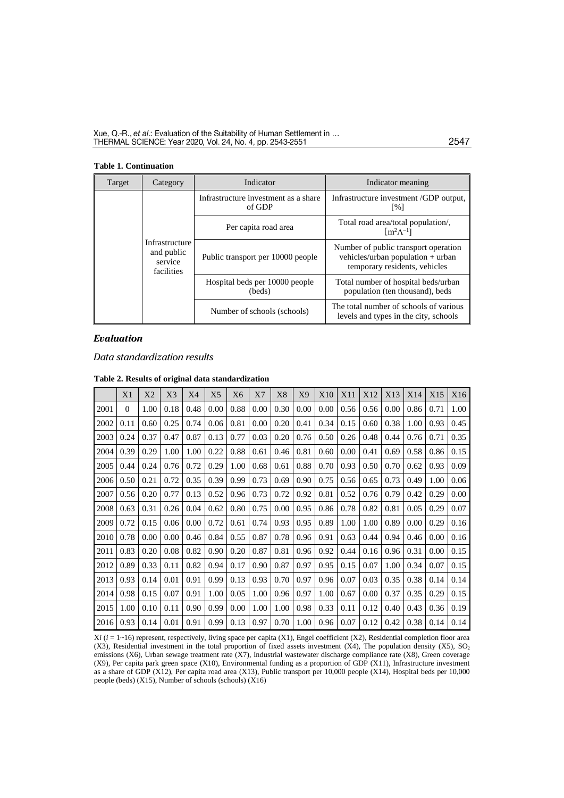#### **Table 1. Continuation**

| Target | Category                                              | Indicator                                      | Indicator meaning                                                                                          |  |  |
|--------|-------------------------------------------------------|------------------------------------------------|------------------------------------------------------------------------------------------------------------|--|--|
|        |                                                       | Infrastructure investment as a share<br>of GDP | Infrastructure investment /GDP output,<br>$\lceil \% \rceil$                                               |  |  |
|        |                                                       | Per capita road area                           | Total road area/total population/,<br>$\left[\text{m}^2\Lambda^{-1}\right]$                                |  |  |
|        | Infrastructure<br>and public<br>service<br>facilities | Public transport per 10000 people              | Number of public transport operation<br>vehicles/urban population + urban<br>temporary residents, vehicles |  |  |
|        |                                                       | Hospital beds per 10000 people<br>(beds)       | Total number of hospital beds/urban<br>population (ten thousand), beds                                     |  |  |
|        |                                                       | Number of schools (schools)                    | The total number of schools of various<br>levels and types in the city, schools                            |  |  |

# *Evaluation*

*Data standardization results* 

|      | X1       | X2   | X3   | X4   | X <sub>5</sub> | X <sub>6</sub> | X7   | X8   | X9   | X10  | X11  | X12  | X13  | X14  | X15  | X16  |
|------|----------|------|------|------|----------------|----------------|------|------|------|------|------|------|------|------|------|------|
| 2001 | $\Omega$ | 1.00 | 0.18 | 0.48 | 0.00           | 0.88           | 0.00 | 0.30 | 0.00 | 0.00 | 0.56 | 0.56 | 0.00 | 0.86 | 0.71 | 1.00 |
| 2002 | 0.11     | 0.60 | 0.25 | 0.74 | 0.06           | 0.81           | 0.00 | 0.20 | 0.41 | 0.34 | 0.15 | 0.60 | 0.38 | 1.00 | 0.93 | 0.45 |
| 2003 | 0.24     | 0.37 | 0.47 | 0.87 | 0.13           | 0.77           | 0.03 | 0.20 | 0.76 | 0.50 | 0.26 | 0.48 | 0.44 | 0.76 | 0.71 | 0.35 |
| 2004 | 0.39     | 0.29 | 1.00 | 1.00 | 0.22           | 0.88           | 0.61 | 0.46 | 0.81 | 0.60 | 0.00 | 0.41 | 0.69 | 0.58 | 0.86 | 0.15 |
| 2005 | 0.44     | 0.24 | 0.76 | 0.72 | 0.29           | 1.00           | 0.68 | 0.61 | 0.88 | 0.70 | 0.93 | 0.50 | 0.70 | 0.62 | 0.93 | 0.09 |
| 2006 | 0.50     | 0.21 | 0.72 | 0.35 | 0.39           | 0.99           | 0.73 | 0.69 | 0.90 | 0.75 | 0.56 | 0.65 | 0.73 | 0.49 | 1.00 | 0.06 |
| 2007 | 0.56     | 0.20 | 0.77 | 0.13 | 0.52           | 0.96           | 0.73 | 0.72 | 0.92 | 0.81 | 0.52 | 0.76 | 0.79 | 0.42 | 0.29 | 0.00 |
| 2008 | 0.63     | 0.31 | 0.26 | 0.04 | 0.62           | 0.80           | 0.75 | 0.00 | 0.95 | 0.86 | 0.78 | 0.82 | 0.81 | 0.05 | 0.29 | 0.07 |
| 2009 | 0.72     | 0.15 | 0.06 | 0.00 | 0.72           | 0.61           | 0.74 | 0.93 | 0.95 | 0.89 | 1.00 | 1.00 | 0.89 | 0.00 | 0.29 | 0.16 |
| 2010 | 0.78     | 0.00 | 0.00 | 0.46 | 0.84           | 0.55           | 0.87 | 0.78 | 0.96 | 0.91 | 0.63 | 0.44 | 0.94 | 0.46 | 0.00 | 0.16 |
| 2011 | 0.83     | 0.20 | 0.08 | 0.82 | 0.90           | 0.20           | 0.87 | 0.81 | 0.96 | 0.92 | 0.44 | 0.16 | 0.96 | 0.31 | 0.00 | 0.15 |
| 2012 | 0.89     | 0.33 | 0.11 | 0.82 | 0.94           | 0.17           | 0.90 | 0.87 | 0.97 | 0.95 | 0.15 | 0.07 | 1.00 | 0.34 | 0.07 | 0.15 |
| 2013 | 0.93     | 0.14 | 0.01 | 0.91 | 0.99           | 0.13           | 0.93 | 0.70 | 0.97 | 0.96 | 0.07 | 0.03 | 0.35 | 0.38 | 0.14 | 0.14 |
| 2014 | 0.98     | 0.15 | 0.07 | 0.91 | 1.00           | 0.05           | 1.00 | 0.96 | 0.97 | 1.00 | 0.67 | 0.00 | 0.37 | 0.35 | 0.29 | 0.15 |
| 2015 | 1.00     | 0.10 | 0.11 | 0.90 | 0.99           | 0.00           | 1.00 | 1.00 | 0.98 | 0.33 | 0.11 | 0.12 | 0.40 | 0.43 | 0.36 | 0.19 |
| 2016 | 0.93     | 0.14 | 0.01 | 0.91 | 0.99           | 0.13           | 0.97 | 0.70 | 1.00 | 0.96 | 0.07 | 0.12 | 0.42 | 0.38 | 0.14 | 0.14 |

#### **Table 2. Results of original data standardization**

X*i* (*i* = 1~16) represent, respectively, living space per capita (X1), Engel coefficient (X2), Residential completion floor area (X3), Residential investment in the total proportion of fixed assets investment (X4), The population density (X5),  $SO_2$ emissions (X6), Urban sewage treatment rate (X7), Industrial wastewater discharge compliance rate (X8), Green coverage (X9), Per capita park green space (X10), Environmental funding as a proportion of GDP (X11), Infrastructure investment as a share of GDP (X12), Per capita road area (X13), Public transport per 10,000 people (X14), Hospital beds per 10,000 people (beds) (X15), Number of schools (schools) (X16)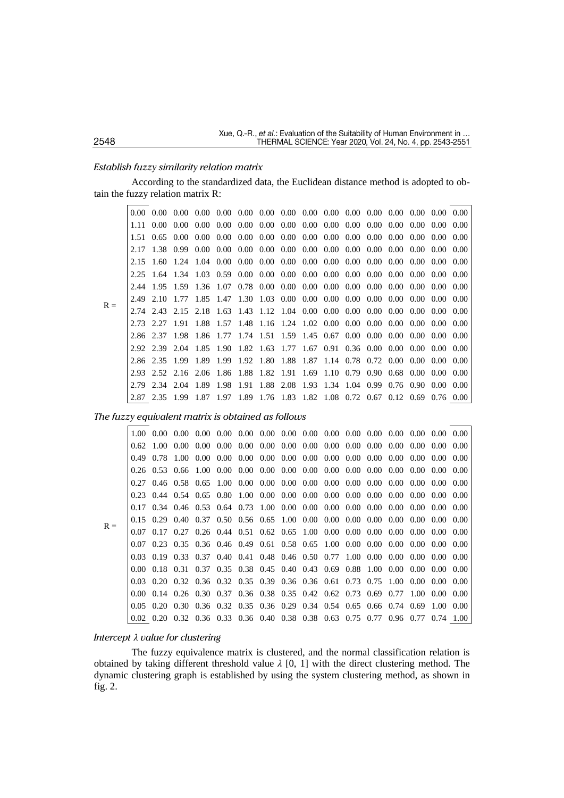#### *Establish fuzzy similarity relation matrix*

According to the standardized data, the Euclidean distance method is adopted to obtain the fuzzy relation matrix R:

|       | $0.00 -$ | $0.00 -$       | $0.00 -$            |                                                                                                                                                    |                   |  |  | $0.00$ $0.00$ $0.00$ $0.00$ $0.00$ $0.00$ $0.00$ $0.00$ $0.00$ $0.00$ $0.00$ $0.00$ $0.00$ $0.00$     |  |  |                |        |
|-------|----------|----------------|---------------------|----------------------------------------------------------------------------------------------------------------------------------------------------|-------------------|--|--|-------------------------------------------------------------------------------------------------------|--|--|----------------|--------|
|       | 1.11-    | $0.00 -$       |                     | $0.00\quad 0.00\quad 0.00\quad 0.00\quad 0.00\quad 0.00\quad 0.00\quad 0.00\quad 0.00\quad 0.00\quad 0.00\quad 0.00\quad 0.00\quad 0.00\quad 0.00$ |                   |  |  |                                                                                                       |  |  |                |        |
|       | 1.51     |                | $0.65 \cdot 0.00$   | 0.00                                                                                                                                               | 0.00              |  |  | $0.00\quad 0.00\quad 0.00\quad 0.00\quad 0.00\quad 0.00\quad 0.00\quad 0.00\quad 0.00\quad 0.00$      |  |  |                | -0.00  |
|       |          | 1.38 0.99      |                     |                                                                                                                                                    | $0.00 \quad 0.00$ |  |  | $0.00\quad 0.00\quad 0.00\quad 0.00\quad 0.00\quad 0.00\quad 0.00\quad 0.00\quad 0.00\quad 0.00\quad$ |  |  |                | - 0.00 |
|       | 2.15     | -1.60          |                     |                                                                                                                                                    |                   |  |  |                                                                                                       |  |  |                |        |
|       | 2.25     |                |                     | $1.64$ $1.34$ $1.03$ $0.59$ $0.00$ $0.00$ $0.00$ $0.00$ $0.00$ $0.00$ $0.00$ $0.00$ $0.00$ $0.00$ $0.00$                                           |                   |  |  |                                                                                                       |  |  |                | -0.00  |
|       | 2.44     | 1.95           |                     | 1.59 1.36 1.07                                                                                                                                     |                   |  |  |                                                                                                       |  |  |                | -0.00  |
| $R =$ | 2.49     | 2.10           |                     |                                                                                                                                                    |                   |  |  |                                                                                                       |  |  |                |        |
|       |          |                | 2.74 2.43 2.15 2.18 |                                                                                                                                                    |                   |  |  |                                                                                                       |  |  |                |        |
|       |          | 2.27           | 1.91                | 1.88                                                                                                                                               |                   |  |  |                                                                                                       |  |  |                |        |
|       |          | 2.86 2.37      |                     | 1.98 1.86 1.77 1.74 1.51 1.59 1.45 0.67 0.00 0.00 0.00 0.00 0.00 0.00                                                                              |                   |  |  |                                                                                                       |  |  |                |        |
|       |          | 2.92 2.39 2.04 |                     | 1.85                                                                                                                                               |                   |  |  | 1.90 1.82 1.63 1.77 1.67 0.91 0.36 0.00 0.00 0.00 0.00 0.00                                           |  |  |                |        |
|       |          | 2.86 2.35      | 1.99                | 1.89                                                                                                                                               |                   |  |  | 1.99 1.92 1.80 1.88 1.87 1.14 0.78 0.72 0.00 0.00 0.00 0.00                                           |  |  |                |        |
|       | 2.93     |                |                     | 2.52 2.16 2.06 1.86 1.88 1.82 1.91 1.69 1.10 0.79 0.90 0.68 0.00 0.00 0.00                                                                         |                   |  |  |                                                                                                       |  |  |                |        |
|       | 2.79     | 2.34 2.04      |                     | 1.89                                                                                                                                               | 1.98              |  |  | 1.91 1.88 2.08 1.93 1.34 1.04 0.99 0.76 0.90                                                          |  |  | $0.00^{\circ}$ | -0.00  |
|       |          | 2.35           | 1.99                | 1.87                                                                                                                                               | 1.97              |  |  | 1.89 1.76 1.83 1.82 1.08 0.72 0.67 0.12 0.69 0.76 0.00                                                |  |  |                |        |

### *The fuzzy equivalent matrix is obtained as follows*

|       |          | $0.62 \quad 1.00$ | 0.00                                                                                                            | 0.00 <sub>1</sub> | $0.00\quad 0.00\quad 0.00\quad 0.00\quad 0.00\quad 0.00\quad 0.00\quad 0.00\quad 0.00\quad 0.00\quad 0.00\quad 0.00$ |  |  |  |                |  |        |
|-------|----------|-------------------|-----------------------------------------------------------------------------------------------------------------|-------------------|----------------------------------------------------------------------------------------------------------------------|--|--|--|----------------|--|--------|
|       | 0.49     | 0.78              |                                                                                                                 |                   |                                                                                                                      |  |  |  |                |  |        |
|       | 0.26     | $0.53 \quad 0.66$ |                                                                                                                 | 1.00              | $0.00\quad 0.00\quad 0.00\quad 0.00\quad 0.00\quad 0.00\quad 0.00\quad 0.00\quad 0.00\quad 0.00\quad 0.00\quad 0.00$ |  |  |  |                |  | - 0.00 |
|       | 0.27     |                   | $0.46$ $0.58$ $0.65$ $1.00$ $0.00$ $0.00$ $0.00$ $0.00$ $0.00$ $0.00$ $0.00$ $0.00$ $0.00$ $0.00$ $0.00$ $0.00$ |                   |                                                                                                                      |  |  |  |                |  |        |
|       |          |                   | $0.23$ $0.44$ $0.54$ $0.65$ $0.80$ $1.00$ $0.00$ $0.00$ $0.00$ $0.00$ $0.00$ $0.00$ $0.00$ $0.00$ $0.00$ $0.00$ |                   |                                                                                                                      |  |  |  |                |  |        |
|       |          |                   | $0.17$ $0.34$ $0.46$ $0.53$ $0.64$ $0.73$ $1.00$ $0.00$ $0.00$ $0.00$ $0.00$ $0.00$ $0.00$ $0.00$ $0.00$ $0.00$ |                   |                                                                                                                      |  |  |  |                |  |        |
| $R =$ |          |                   | $0.15$ $0.29$ $0.40$ $0.37$ $0.50$ $0.56$ $0.65$ $1.00$ $0.00$ $0.00$ $0.00$ $0.00$ $0.00$ $0.00$ $0.00$ $0.00$ |                   |                                                                                                                      |  |  |  |                |  |        |
|       | 0.07     |                   | $0.17$ $0.27$ $0.26$ $0.44$ $0.51$ $0.62$ $0.65$ $1.00$ $0.00$ $0.00$ $0.00$ $0.00$ $0.00$ $0.00$ $0.00$        |                   |                                                                                                                      |  |  |  |                |  |        |
|       | 0.07     |                   | $0.23$ $0.35$ $0.36$ $0.46$ $0.49$ $0.61$ $0.58$ $0.65$ $1.00$ $0.00$ $0.00$ $0.00$ $0.00$ $0.00$ $0.00$        |                   |                                                                                                                      |  |  |  |                |  | 0.00   |
|       |          |                   | 0.03 0.19 0.33 0.37 0.40 0.41 0.48 0.46 0.50 0.77 1.00 0.00 0.00 0.00 0.00 0.00                                 |                   |                                                                                                                      |  |  |  |                |  |        |
|       | 0.00     |                   | 0.18 0.31 0.37 0.35 0.38 0.45 0.40 0.43 0.69 0.88 1.00 0.00 0.00 0.00 0.00                                      |                   |                                                                                                                      |  |  |  |                |  |        |
|       | 0.03     |                   | 0.20 0.32 0.36 0.32 0.35 0.39 0.36 0.36 0.61 0.73 0.75                                                          |                   |                                                                                                                      |  |  |  | 1.00 0.00 0.00 |  | - 0.00 |
|       | $0.00 -$ |                   | 0.14 0.26 0.30 0.37 0.36 0.38 0.35 0.42 0.62 0.73 0.69 0.77 1.00 0.00 0.00                                      |                   |                                                                                                                      |  |  |  |                |  |        |
|       | 0.05     |                   | 0.20 0.30 0.36 0.32 0.35 0.36 0.29 0.34 0.54 0.65 0.66 0.74 0.69 1.00 0.00                                      |                   |                                                                                                                      |  |  |  |                |  |        |
|       |          |                   | 0.02 0.20 0.32 0.36 0.33 0.36 0.40 0.38 0.38 0.63 0.75 0.77 0.96 0.77 0.74 1.00                                 |                   |                                                                                                                      |  |  |  |                |  |        |

# *Intercept λ value for clustering*

The fuzzy equivalence matrix is clustered, and the normal classification relation is obtained by taking different threshold value *λ* [0, 1] with the direct clustering method. The dynamic clustering graph is established by using the system clustering method, as shown in fig. 2.

# 2548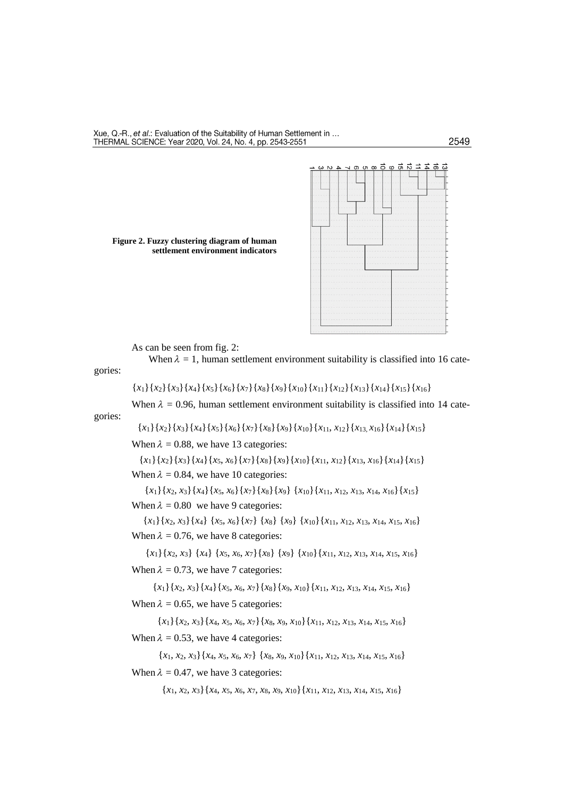### 2549



As can be seen from fig. 2:

**Figure 2. Fuzzy clustering diagram of human** 

**settlement environment indicators**

When  $\lambda = 1$ , human settlement environment suitability is classified into 16 categories:

$$
{x_1}{x_2}{x_3}{x_4}{x_5}{x_6}{x_7}{x_8}{x_9}{x_{10}}{x_{11}}{x_{12}}{x_{13}}{x_{14}}{x_{15}}{x_{16}}
$$

When  $\lambda = 0.96$ , human settlement environment suitability is classified into 14 cate-

gories:

{*x*1}{*x*2}{*x*3}{*x*4}{*x*5}{*x*6}{*x*7}{*x*8}{*x*9}{*x*10}{*x*11, *x*12}{*x*13, *x*16}{*x*14}{*x*15}

When  $\lambda = 0.88$ , we have 13 categories:

$$
{x_1}{x_2}{x_3}{x_4}{x_5, x_6}{x_7}{x_8}{x_1}{x_{10}}{x_{11}, x_{12}}{x_{13}, x_{16}}{x_{14}}{x_{15}}
$$
  
When  $\lambda = 0.84$ , we have 10 categories:

{*x*1}{*x*2, *x*3}{*x*4}{*x*5, *x*6}{*x*7}{*x*8}{*x*9} {*x*10}{*x*11, *x*12, *x*13, *x*14, *x*16}{*x*15} When  $\lambda = 0.80$  we have 9 categories:

{*x*1}{*x*2, *x*3}{*x*4} {*x*5, *x*6}{*x*7} {*x*8} {*x*9} {*x*10}{*x*11, *x*12, *x*13, *x*14, *x*15, *x*16} When  $\lambda = 0.76$ , we have 8 categories:

{*x*1}{*x*2, *x*3} {*x*4} {*x*5, *x*6, *x*7}{*x*8} {*x*9} {*x*10}{*x*11, *x*12, *x*13, *x*14, *x*15, *x*16} When  $\lambda = 0.73$ , we have 7 categories:

{*x*1}{*x*2, *x*3}{*x*4}{*x*5, *x*6, *x*7}{*x*8}{*x*9, *x*10}{*x*11, *x*12, *x*13, *x*14, *x*15, *x*16} When  $\lambda = 0.65$ , we have 5 categories:

{*x*1}{*x*2, *x*3}{*x*4, *x*5, *x*6, *x*7}{*x*8, *x*9, *x*10}{*x*11, *x*12, *x*13, *x*14, *x*15, *x*16} When  $\lambda = 0.53$ , we have 4 categories:

{*x*1, *x*2, *x*3}{*x*4, *x*5, *x*6, *x*7} {*x*8, *x*9, *x*10}{*x*11, *x*12, *x*13, *x*14, *x*15, *x*16} When  $\lambda = 0.47$ , we have 3 categories:

{*x*1, *x*2, *x*3}{*x*4, *x*5, *x*6, *x*7, *x*8, *x*9, *x*10}{*x*11, *x*12, *x*13, *x*14, *x*15, *x*16}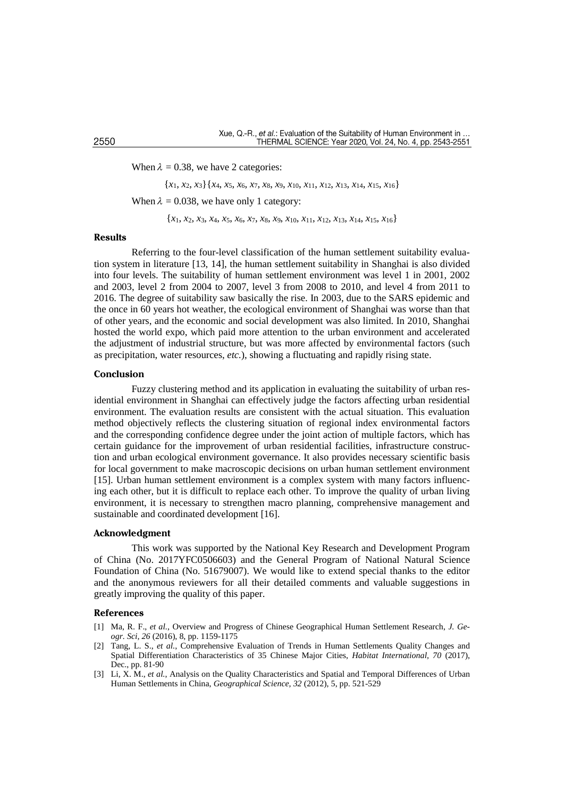When  $\lambda = 0.38$ , we have 2 categories:

{*x*1, *x*2, *x*3}{*x*4, *x*5, *x*6, *x*7, *x*8, *x*9, *x*10, *x*11, *x*12, *x*13, *x*14, *x*15, *x*16}

When  $\lambda = 0.038$ , we have only 1 category:

{*x*1, *x*2, *x*3, *x*4, *x*5, *x*6, *x*7, *x*8, *x*9, *x*10, *x*11, *x*12, *x*13, *x*14, *x*15, *x*16}

### **Results**

Referring to the four-level classification of the human settlement suitability evaluation system in literature [13, 14], the human settlement suitability in Shanghai is also divided into four levels. The suitability of human settlement environment was level 1 in 2001, 2002 and 2003, level 2 from 2004 to 2007, level 3 from 2008 to 2010, and level 4 from 2011 to 2016. The degree of suitability saw basically the rise. In 2003, due to the SARS epidemic and the once in 60 years hot weather, the ecological environment of Shanghai was worse than that of other years, and the economic and social development was also limited. In 2010, Shanghai hosted the world expo, which paid more attention to the urban environment and accelerated the adjustment of industrial structure, but was more affected by environmental factors (such as precipitation, water resources, *etc.*), showing a fluctuating and rapidly rising state.

#### **Conclusion**

Fuzzy clustering method and its application in evaluating the suitability of urban residential environment in Shanghai can effectively judge the factors affecting urban residential environment. The evaluation results are consistent with the actual situation. This evaluation method objectively reflects the clustering situation of regional index environmental factors and the corresponding confidence degree under the joint action of multiple factors, which has certain guidance for the improvement of urban residential facilities, infrastructure construction and urban ecological environment governance. It also provides necessary scientific basis for local government to make macroscopic decisions on urban human settlement environment [15]. Urban human settlement environment is a complex system with many factors influencing each other, but it is difficult to replace each other. To improve the quality of urban living environment, it is necessary to strengthen macro planning, comprehensive management and sustainable and coordinated development [16].

### **Acknowledgment**

This work was supported by the National Key Research and Development Program of China (No. 2017YFC0506603) and the General Program of National Natural Science Foundation of China (No. 51679007). We would like to extend special thanks to the editor and the anonymous reviewers for all their detailed comments and valuable suggestions in greatly improving the quality of this paper.

#### **References**

- [1] Ma, R. F., *et al.*, Overview and Progress of Chinese Geographical Human Settlement Research, *J. Geogr. Sci, 26* (2016), 8, pp. 1159-1175
- [2] Tang, L. S., *et al.*, Comprehensive Evaluation of Trends in Human Settlements Quality Changes and Spatial Differentiation Characteristics of 35 Chinese Major Cities, *Habitat International, 70* (2017), Dec., pp. 81-90
- [3] Li, X. M., *et al.*, Analysis on the Quality Characteristics and Spatial and Temporal Differences of Urban Human Settlements in China, *Geographical Science, 32* (2012), 5, pp. 521-529